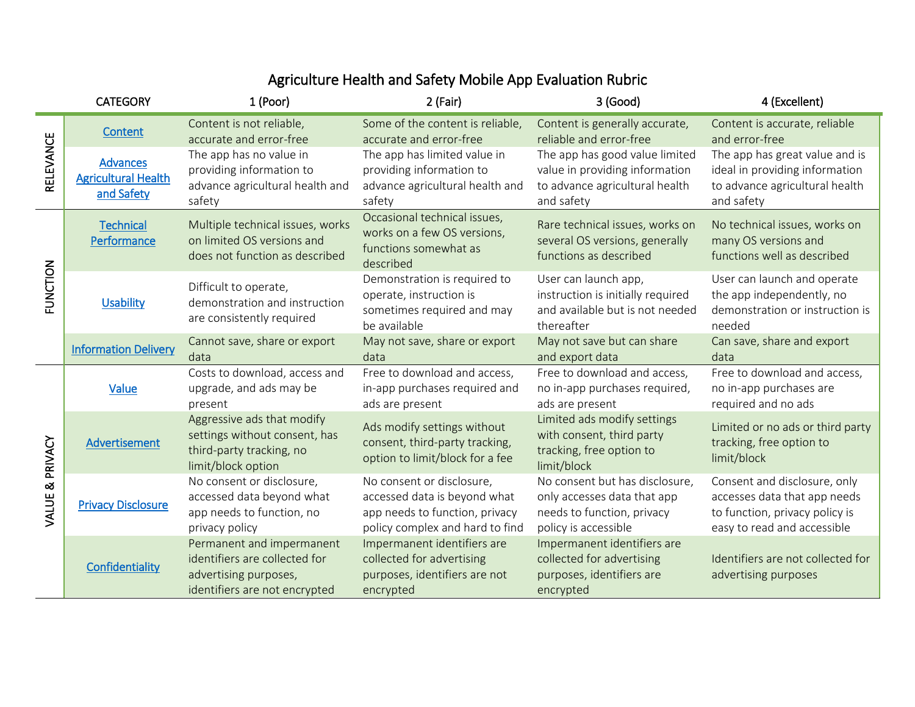## Agriculture Health and Safety Mobile App Evaluation Rubric

|                 | <b>CATEGORY</b>                                             | 1 (Poor)                                                                                                             | 2 (Fair)                                                                                                                       | 3 (Good)                                                                                                            | 4 (Excellent)                                                                                                                 |
|-----------------|-------------------------------------------------------------|----------------------------------------------------------------------------------------------------------------------|--------------------------------------------------------------------------------------------------------------------------------|---------------------------------------------------------------------------------------------------------------------|-------------------------------------------------------------------------------------------------------------------------------|
| RELEVANCE       | Content                                                     | Content is not reliable,<br>accurate and error-free                                                                  | Some of the content is reliable,<br>accurate and error-free                                                                    | Content is generally accurate,<br>reliable and error-free                                                           | Content is accurate, reliable<br>and error-free                                                                               |
|                 | <b>Advances</b><br><b>Agricultural Health</b><br>and Safety | The app has no value in<br>providing information to<br>advance agricultural health and<br>safety                     | The app has limited value in<br>providing information to<br>advance agricultural health and<br>safety                          | The app has good value limited<br>value in providing information<br>to advance agricultural health<br>and safety    | The app has great value and is<br>ideal in providing information<br>to advance agricultural health<br>and safety              |
| <b>FUNCTION</b> | <b>Technical</b><br>Performance                             | Multiple technical issues, works<br>on limited OS versions and<br>does not function as described                     | Occasional technical issues,<br>works on a few OS versions,<br>functions somewhat as<br>described                              | Rare technical issues, works on<br>several OS versions, generally<br>functions as described                         | No technical issues, works on<br>many OS versions and<br>functions well as described                                          |
|                 | <b>Usability</b>                                            | Difficult to operate,<br>demonstration and instruction<br>are consistently required                                  | Demonstration is required to<br>operate, instruction is<br>sometimes required and may<br>be available                          | User can launch app,<br>instruction is initially required<br>and available but is not needed<br>thereafter          | User can launch and operate<br>the app independently, no<br>demonstration or instruction is<br>needed                         |
|                 | <b>Information Delivery</b>                                 | Cannot save, share or export<br>data                                                                                 | May not save, share or export<br>data                                                                                          | May not save but can share<br>and export data                                                                       | Can save, share and export<br>data                                                                                            |
| VALUE & PRIVACY | Value                                                       | Costs to download, access and<br>upgrade, and ads may be<br>present                                                  | Free to download and access,<br>in-app purchases required and<br>ads are present                                               | Free to download and access,<br>no in-app purchases required,<br>ads are present                                    | Free to download and access,<br>no in-app purchases are<br>required and no ads                                                |
|                 | Advertisement                                               | Aggressive ads that modify<br>settings without consent, has<br>third-party tracking, no<br>limit/block option        | Ads modify settings without<br>consent, third-party tracking,<br>option to limit/block for a fee                               | Limited ads modify settings<br>with consent, third party<br>tracking, free option to<br>limit/block                 | Limited or no ads or third party<br>tracking, free option to<br>limit/block                                                   |
|                 | <b>Privacy Disclosure</b>                                   | No consent or disclosure,<br>accessed data beyond what<br>app needs to function, no<br>privacy policy                | No consent or disclosure,<br>accessed data is beyond what<br>app needs to function, privacy<br>policy complex and hard to find | No consent but has disclosure,<br>only accesses data that app<br>needs to function, privacy<br>policy is accessible | Consent and disclosure, only<br>accesses data that app needs<br>to function, privacy policy is<br>easy to read and accessible |
|                 | Confidentiality                                             | Permanent and impermanent<br>identifiers are collected for<br>advertising purposes,<br>identifiers are not encrypted | Impermanent identifiers are<br>collected for advertising<br>purposes, identifiers are not<br>encrypted                         | Impermanent identifiers are<br>collected for advertising<br>purposes, identifiers are<br>encrypted                  | Identifiers are not collected for<br>advertising purposes                                                                     |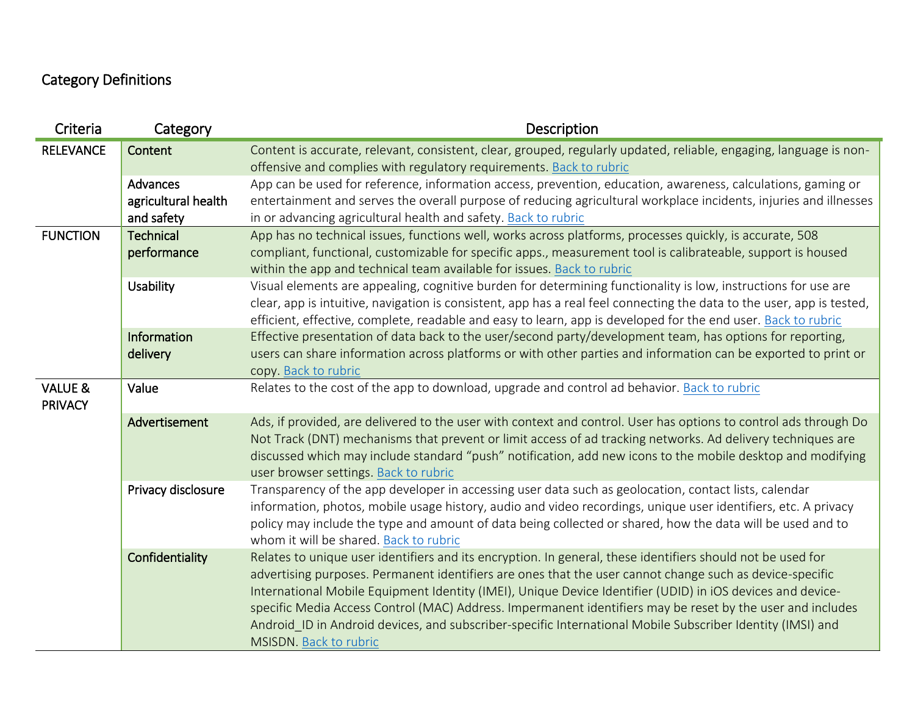## Category Definitions

| Criteria                             | Category            | Description                                                                                                                                                                                                                                                                                                                                                                                                                                                                                                                                                                                 |
|--------------------------------------|---------------------|---------------------------------------------------------------------------------------------------------------------------------------------------------------------------------------------------------------------------------------------------------------------------------------------------------------------------------------------------------------------------------------------------------------------------------------------------------------------------------------------------------------------------------------------------------------------------------------------|
| <b>RELEVANCE</b>                     | Content             | Content is accurate, relevant, consistent, clear, grouped, regularly updated, reliable, engaging, language is non-                                                                                                                                                                                                                                                                                                                                                                                                                                                                          |
|                                      |                     | offensive and complies with regulatory requirements. Back to rubric                                                                                                                                                                                                                                                                                                                                                                                                                                                                                                                         |
|                                      | Advances            | App can be used for reference, information access, prevention, education, awareness, calculations, gaming or                                                                                                                                                                                                                                                                                                                                                                                                                                                                                |
|                                      | agricultural health | entertainment and serves the overall purpose of reducing agricultural workplace incidents, injuries and illnesses                                                                                                                                                                                                                                                                                                                                                                                                                                                                           |
|                                      | and safety          | in or advancing agricultural health and safety. Back to rubric                                                                                                                                                                                                                                                                                                                                                                                                                                                                                                                              |
| <b>FUNCTION</b>                      | <b>Technical</b>    | App has no technical issues, functions well, works across platforms, processes quickly, is accurate, 508                                                                                                                                                                                                                                                                                                                                                                                                                                                                                    |
|                                      | performance         | compliant, functional, customizable for specific apps., measurement tool is calibrateable, support is housed<br>within the app and technical team available for issues. Back to rubric                                                                                                                                                                                                                                                                                                                                                                                                      |
|                                      | Usability           | Visual elements are appealing, cognitive burden for determining functionality is low, instructions for use are<br>clear, app is intuitive, navigation is consistent, app has a real feel connecting the data to the user, app is tested,<br>efficient, effective, complete, readable and easy to learn, app is developed for the end user. Back to rubric                                                                                                                                                                                                                                   |
|                                      | Information         | Effective presentation of data back to the user/second party/development team, has options for reporting,                                                                                                                                                                                                                                                                                                                                                                                                                                                                                   |
|                                      | delivery            | users can share information across platforms or with other parties and information can be exported to print or<br>copy. Back to rubric                                                                                                                                                                                                                                                                                                                                                                                                                                                      |
| <b>VALUE &amp;</b><br><b>PRIVACY</b> | Value               | Relates to the cost of the app to download, upgrade and control ad behavior. Back to rubric                                                                                                                                                                                                                                                                                                                                                                                                                                                                                                 |
|                                      | Advertisement       | Ads, if provided, are delivered to the user with context and control. User has options to control ads through Do<br>Not Track (DNT) mechanisms that prevent or limit access of ad tracking networks. Ad delivery techniques are<br>discussed which may include standard "push" notification, add new icons to the mobile desktop and modifying<br>user browser settings. Back to rubric                                                                                                                                                                                                     |
|                                      | Privacy disclosure  | Transparency of the app developer in accessing user data such as geolocation, contact lists, calendar<br>information, photos, mobile usage history, audio and video recordings, unique user identifiers, etc. A privacy<br>policy may include the type and amount of data being collected or shared, how the data will be used and to<br>whom it will be shared. Back to rubric                                                                                                                                                                                                             |
|                                      | Confidentiality     | Relates to unique user identifiers and its encryption. In general, these identifiers should not be used for<br>advertising purposes. Permanent identifiers are ones that the user cannot change such as device-specific<br>International Mobile Equipment Identity (IMEI), Unique Device Identifier (UDID) in iOS devices and device-<br>specific Media Access Control (MAC) Address. Impermanent identifiers may be reset by the user and includes<br>Android ID in Android devices, and subscriber-specific International Mobile Subscriber Identity (IMSI) and<br>MSISDN. Back to rubric |